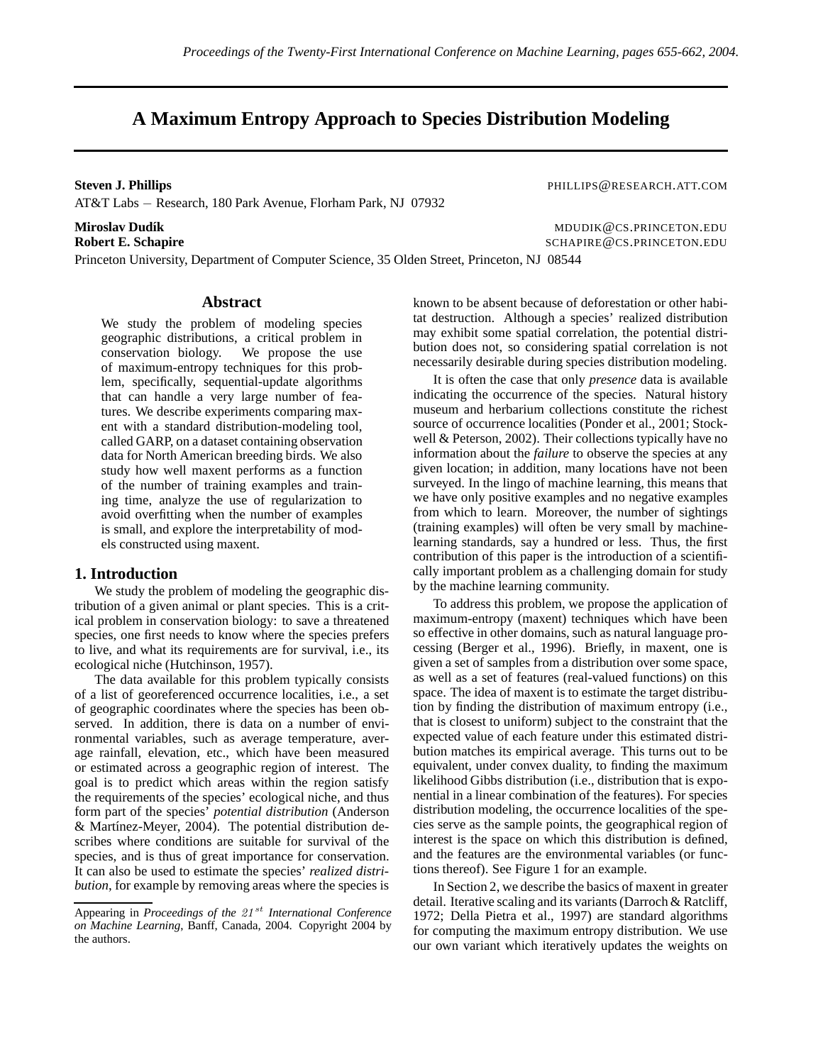# **A Maximum Entropy Approach to Species Distribution Modeling**

**Steven J. Phillips PHILLIPS @RESEARCH.ATT.COM** AT&T Labs − Research, 180 Park Avenue, Florham Park, NJ 07932

Princeton University, Department of Computer Science, 35 Olden Street, Princeton, NJ 08544

## **Abstract**

We study the problem of modeling species geographic distributions, a critical problem in conservation biology. We propose the use of maximum-entropy techniques for this problem, specifically, sequential-update algorithms that can handle a very large number of features. We describe experiments comparing maxent with a standard distribution-modeling tool, called GARP, on a dataset containing observation data for North American breeding birds. We also study how well maxent performs as a function of the number of training examples and training time, analyze the use of regularization to avoid overfitting when the number of examples is small, and explore the interpretability of models constructed using maxent.

## **1. Introduction**

We study the problem of modeling the geographic distribution of a given animal or plant species. This is a critical problem in conservation biology: to save a threatened species, one first needs to know where the species prefers to live, and what its requirements are for survival, i.e., its ecological niche (Hutchinson, 1957).

The data available for this problem typically consists of a list of georeferenced occurrence localities, i.e., a set of geographic coordinates where the species has been observed. In addition, there is data on a number of environmental variables, such as average temperature, average rainfall, elevation, etc., which have been measured or estimated across a geographic region of interest. The goal is to predict which areas within the region satisfy the requirements of the species' ecological niche, and thus form part of the species' *potential distribution* (Anderson & Martínez-Meyer, 2004). The potential distribution describes where conditions are suitable for survival of the species, and is thus of great importance for conservation. It can also be used to estimate the species' *realized distribution*, for example by removing areas where the species is known to be absent because of deforestation or other habitat destruction. Although a species' realized distribution may exhibit some spatial correlation, the potential distribution does not, so considering spatial correlation is not necessarily desirable during species distribution modeling.

It is often the case that only *presence* data is available indicating the occurrence of the species. Natural history museum and herbarium collections constitute the richest source of occurrence localities (Ponder et al., 2001; Stockwell & Peterson, 2002). Their collections typically have no information about the *failure* to observe the species at any given location; in addition, many locations have not been surveyed. In the lingo of machine learning, this means that we have only positive examples and no negative examples from which to learn. Moreover, the number of sightings (training examples) will often be very small by machinelearning standards, say a hundred or less. Thus, the first contribution of this paper is the introduction of a scientifically important problem as a challenging domain for study by the machine learning community.

To address this problem, we propose the application of maximum-entropy (maxent) techniques which have been so effective in other domains, such as natural language processing (Berger et al., 1996). Briefly, in maxent, one is given a set of samples from a distribution over some space, as well as a set of features (real-valued functions) on this space. The idea of maxent is to estimate the target distribution by finding the distribution of maximum entropy (i.e., that is closest to uniform) subject to the constraint that the expected value of each feature under this estimated distribution matches its empirical average. This turns out to be equivalent, under convex duality, to finding the maximum likelihood Gibbs distribution (i.e., distribution that is exponential in a linear combination of the features). For species distribution modeling, the occurrence localities of the species serve as the sample points, the geographical region of interest is the space on which this distribution is defined, and the features are the environmental variables (or functions thereof). See Figure 1 for an example.

In Section 2, we describe the basics of maxent in greater detail. Iterative scaling and its variants (Darroch & Ratcliff, 1972; Della Pietra et al., 1997) are standard algorithms for computing the maximum entropy distribution. We use our own variant which iteratively updates the weights on

**Miroslav Dud´ık** MDUDIK@CS.PRINCETON.EDU **Robert E. Schapire** SCHAPIRE@CS.PRINCETON.EDU

Appearing in *Proceedings of the 21<sup>st</sup> International Conference on Machine Learning*, Banff, Canada, 2004. Copyright 2004 by the authors.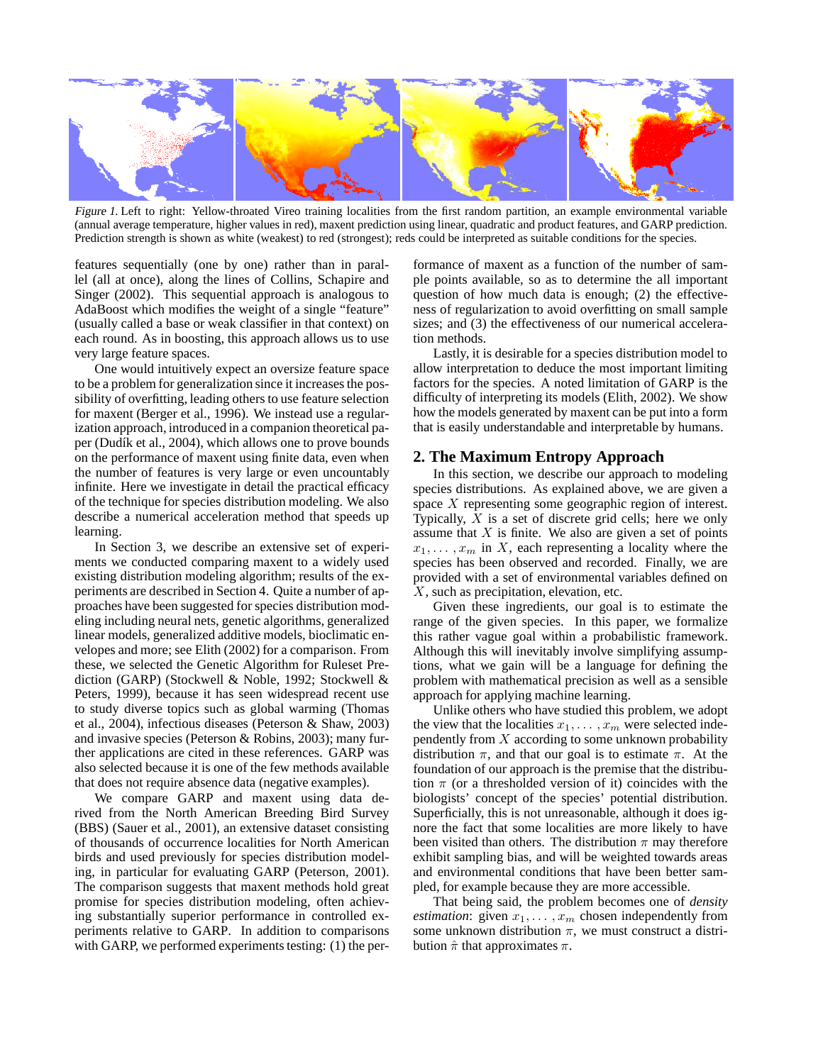

Figure 1. Left to right: Yellow-throated Vireo training localities from the first random partition, an example environmental variable (annual average temperature, higher values in red), maxent prediction using linear, quadratic and product features, and GARP prediction. Prediction strength is shown as white (weakest) to red (strongest); reds could be interpreted as suitable conditions for the species.

features sequentially (one by one) rather than in parallel (all at once), along the lines of Collins, Schapire and Singer (2002). This sequential approach is analogous to AdaBoost which modifies the weight of a single "feature" (usually called a base or weak classifier in that context) on each round. As in boosting, this approach allows us to use very large feature spaces.

One would intuitively expect an oversize feature space to be a problem for generalization since it increases the possibility of overfitting, leading others to use feature selection for maxent (Berger et al., 1996). We instead use a regularization approach, introduced in a companion theoretical paper (Dudík et al., 2004), which allows one to prove bounds on the performance of maxent using finite data, even when the number of features is very large or even uncountably infinite. Here we investigate in detail the practical efficacy of the technique for species distribution modeling. We also describe a numerical acceleration method that speeds up learning.

In Section 3, we describe an extensive set of experiments we conducted comparing maxent to a widely used existing distribution modeling algorithm; results of the experiments are described in Section 4. Quite a number of approaches have been suggested for species distribution modeling including neural nets, genetic algorithms, generalized linear models, generalized additive models, bioclimatic envelopes and more; see Elith (2002) for a comparison. From these, we selected the Genetic Algorithm for Ruleset Prediction (GARP) (Stockwell & Noble, 1992; Stockwell & Peters, 1999), because it has seen widespread recent use to study diverse topics such as global warming (Thomas et al., 2004), infectious diseases (Peterson & Shaw, 2003) and invasive species (Peterson & Robins, 2003); many further applications are cited in these references. GARP was also selected because it is one of the few methods available that does not require absence data (negative examples).

We compare GARP and maxent using data derived from the North American Breeding Bird Survey (BBS) (Sauer et al., 2001), an extensive dataset consisting of thousands of occurrence localities for North American birds and used previously for species distribution modeling, in particular for evaluating GARP (Peterson, 2001). The comparison suggests that maxent methods hold great promise for species distribution modeling, often achieving substantially superior performance in controlled experiments relative to GARP. In addition to comparisons with GARP, we performed experiments testing: (1) the per-

formance of maxent as a function of the number of sample points available, so as to determine the all important question of how much data is enough; (2) the effectiveness of regularization to avoid overfitting on small sample sizes; and (3) the effectiveness of our numerical acceleration methods.

Lastly, it is desirable for a species distribution model to allow interpretation to deduce the most important limiting factors for the species. A noted limitation of GARP is the difficulty of interpreting its models (Elith, 2002). We show how the models generated by maxent can be put into a form that is easily understandable and interpretable by humans.

## **2. The Maximum Entropy Approach**

In this section, we describe our approach to modeling species distributions. As explained above, we are given a space X representing some geographic region of interest. Typically,  $X$  is a set of discrete grid cells; here we only assume that  $X$  is finite. We also are given a set of points  $x_1, \ldots, x_m$  in X, each representing a locality where the species has been observed and recorded. Finally, we are provided with a set of environmental variables defined on X, such as precipitation, elevation, etc.

Given these ingredients, our goal is to estimate the range of the given species. In this paper, we formalize this rather vague goal within a probabilistic framework. Although this will inevitably involve simplifying assumptions, what we gain will be a language for defining the problem with mathematical precision as well as a sensible approach for applying machine learning.

Unlike others who have studied this problem, we adopt the view that the localities  $x_1, \ldots, x_m$  were selected independently from  $X$  according to some unknown probability distribution  $\pi$ , and that our goal is to estimate  $\pi$ . At the foundation of our approach is the premise that the distribution  $\pi$  (or a thresholded version of it) coincides with the biologists' concept of the species' potential distribution. Superficially, this is not unreasonable, although it does ignore the fact that some localities are more likely to have been visited than others. The distribution  $\pi$  may therefore exhibit sampling bias, and will be weighted towards areas and environmental conditions that have been better sampled, for example because they are more accessible.

That being said, the problem becomes one of *density estimation*: given  $x_1, \ldots, x_m$  chosen independently from some unknown distribution  $\pi$ , we must construct a distribution  $\hat{\pi}$  that approximates  $\pi$ .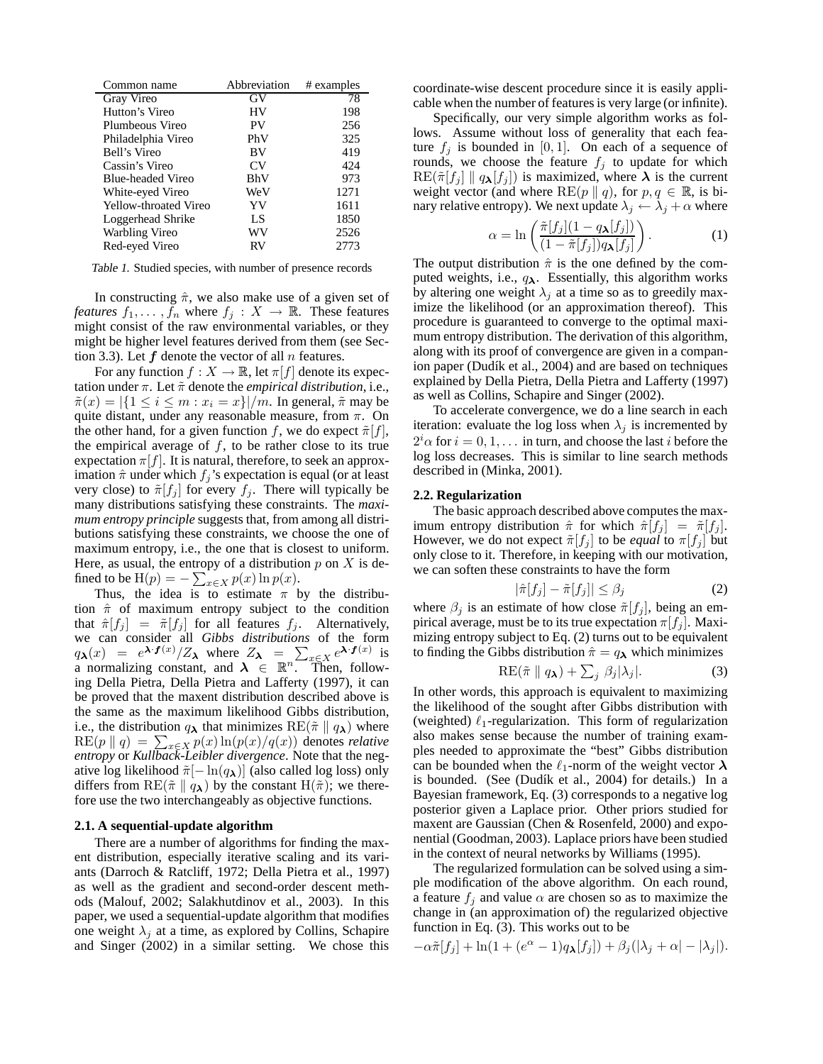| Common name           | Abbreviation | # examples |
|-----------------------|--------------|------------|
| Gray Vireo            | GV           | 78         |
| Hutton's Vireo        | HV           | 198        |
| Plumbeous Vireo       | <b>PV</b>    | 256        |
| Philadelphia Vireo    | PhV          | 325        |
| Bell's Vireo          | BV           | 419        |
| Cassin's Vireo        | CV.          | 42.4       |
| Blue-headed Vireo     | BhV          | 973        |
| White-eyed Vireo      | WeV          | 1271       |
| Yellow-throated Vireo | YV           | 1611       |
| Loggerhead Shrike     | LS           | 1850       |
| Warbling Vireo        | WV           | 2526       |
| Red-eyed Vireo        | RV           | 2773       |

Table 1. Studied species, with number of presence records

In constructing  $\hat{\pi}$ , we also make use of a given set of *features*  $f_1, \ldots, f_n$  where  $f_j : X \to \mathbb{R}$ . These features might consist of the raw environmental variables, or they might be higher level features derived from them (see Section 3.3). Let  $f$  denote the vector of all  $n$  features.

For any function  $f: X \to \mathbb{R}$ , let  $\pi[f]$  denote its expectation under  $\pi$ . Let  $\tilde{\pi}$  denote the *empirical distribution*, i.e.,  $ilde{\pi}(x) = |\{1 \leq i \leq m : x_i = x\}|/m$ . In general,  $\tilde{\pi}$  may be quite distant, under any reasonable measure, from  $\pi$ . On the other hand, for a given function f, we do expect  $\tilde{\pi}[f]$ , the empirical average of  $f$ , to be rather close to its true expectation  $\pi[f]$ . It is natural, therefore, to seek an approximation  $\hat{\pi}$  under which  $f_j$ 's expectation is equal (or at least very close) to  $\tilde{\pi}[f_i]$  for every  $f_i$ . There will typically be many distributions satisfying these constraints. The *maximum entropy principle* suggests that, from among all distributions satisfying these constraints, we choose the one of maximum entropy, i.e., the one that is closest to uniform. Here, as usual, the entropy of a distribution  $p$  on  $X$  is defined to be  $H(p) = -\sum_{x \in X} p(x) \ln p(x)$ .

Thus, the idea is to estimate  $\pi$  by the distribution  $\hat{\pi}$  of maximum entropy subject to the condition that  $\hat{\pi}[f_j] = \tilde{\pi}[f_j]$  for all features  $f_j$ . Alternatively, we can consider all *Gibbs distributions* of the form  $q_{\lambda}(x) = e^{\lambda \cdot f(x)} / Z_{\lambda}$  where  $Z_{\lambda} = \sum_{x \in X} e^{\lambda \cdot f(x)}$  is a normalizing constant, and  $\lambda \in \mathbb{R}^n$ . Then, following Della Pietra, Della Pietra and Lafferty (1997), it can be proved that the maxent distribution described above is the same as the maximum likelihood Gibbs distribution, i.e., the distribution  $q_{\lambda}$  that minimizes  $RE(\tilde{\pi} \parallel q_{\lambda})$  where  $RE(p || q) = \sum_{x \in X} p(x) \ln(p(x)/q(x))$  denotes *relative entropy* or *Kullback-Leibler divergence*. Note that the negative log likelihood  $\tilde{\pi}[-\ln(q_{\lambda})]$  (also called log loss) only differs from  $RE(\tilde{\pi} \parallel q_{\lambda})$  by the constant  $H(\tilde{\pi})$ ; we therefore use the two interchangeably as objective functions.

## **2.1. A sequential-update algorithm**

There are a number of algorithms for finding the maxent distribution, especially iterative scaling and its variants (Darroch & Ratcliff, 1972; Della Pietra et al., 1997) as well as the gradient and second-order descent methods (Malouf, 2002; Salakhutdinov et al., 2003). In this paper, we used a sequential-update algorithm that modifies one weight  $\lambda_j$  at a time, as explored by Collins, Schapire and Singer (2002) in a similar setting. We chose this

coordinate-wise descent procedure since it is easily applicable when the number of features is very large (or infinite).

Specifically, our very simple algorithm works as follows. Assume without loss of generality that each feature  $f_j$  is bounded in [0, 1]. On each of a sequence of rounds, we choose the feature  $f_j$  to update for which  $RE(\tilde{\pi}[f_j] \parallel q_{\lambda}[f_j])$  is maximized, where  $\lambda$  is the current weight vector (and where  $RE(p || q)$ , for  $p, q \in \mathbb{R}$ , is binary relative entropy). We next update  $\lambda_j \leftarrow \lambda_j + \alpha$  where

$$
\alpha = \ln\left(\frac{\tilde{\pi}[f_j](1 - q_{\lambda}[f_j])}{(1 - \tilde{\pi}[f_j])q_{\lambda}[f_j]}\right). \tag{1}
$$

The output distribution  $\hat{\pi}$  is the one defined by the computed weights, i.e.,  $q_{\lambda}$ . Essentially, this algorithm works by altering one weight  $\lambda_i$  at a time so as to greedily maximize the likelihood (or an approximation thereof). This procedure is guaranteed to converge to the optimal maximum entropy distribution. The derivation of this algorithm, along with its proof of convergence are given in a companion paper (Dudík et al., 2004) and are based on techniques explained by Della Pietra, Della Pietra and Lafferty (1997) as well as Collins, Schapire and Singer (2002).

To accelerate convergence, we do a line search in each iteration: evaluate the log loss when  $\lambda_j$  is incremented by  $2^i\alpha$  for  $i = 0, 1, \dots$  in turn, and choose the last i before the log loss decreases. This is similar to line search methods described in (Minka, 2001).

## **2.2. Regularization**

The basic approach described above computes the maximum entropy distribution  $\hat{\pi}$  for which  $\hat{\pi}[f_j] = \tilde{\pi}[f_j]$ . However, we do not expect  $\tilde{\pi}[f_i]$  to be *equal* to  $\pi[f_i]$  but only close to it. Therefore, in keeping with our motivation, we can soften these constraints to have the form

$$
|\hat{\pi}[f_j] - \tilde{\pi}[f_j]| \le \beta_j \tag{2}
$$

where  $\beta_i$  is an estimate of how close  $\tilde{\pi}[f_i]$ , being an empirical average, must be to its true expectation  $\pi[f_i]$ . Maximizing entropy subject to Eq. (2) turns out to be equivalent to finding the Gibbs distribution  $\hat{\pi} = q_{\lambda}$  which minimizes

$$
RE(\tilde{\pi} \parallel q_{\lambda}) + \sum_{j} \beta_{j} |\lambda_{j}|.
$$
 (3)

In other words, this approach is equivalent to maximizing the likelihood of the sought after Gibbs distribution with (weighted)  $\ell_1$ -regularization. This form of regularization also makes sense because the number of training examples needed to approximate the "best" Gibbs distribution can be bounded when the  $\ell_1$ -norm of the weight vector  $\lambda$ is bounded. (See (Dudík et al., 2004) for details.) In a Bayesian framework, Eq. (3) corresponds to a negative log posterior given a Laplace prior. Other priors studied for maxent are Gaussian (Chen & Rosenfeld, 2000) and exponential (Goodman, 2003). Laplace priors have been studied in the context of neural networks by Williams (1995).

The regularized formulation can be solved using a simple modification of the above algorithm. On each round, a feature  $f_i$  and value  $\alpha$  are chosen so as to maximize the change in (an approximation of) the regularized objective function in Eq. (3). This works out to be

$$
-\alpha \tilde{\pi}[f_j] + \ln(1 + (e^{\alpha} - 1)q_{\lambda}[f_j]) + \beta_j(|\lambda_j + \alpha| - |\lambda_j|).
$$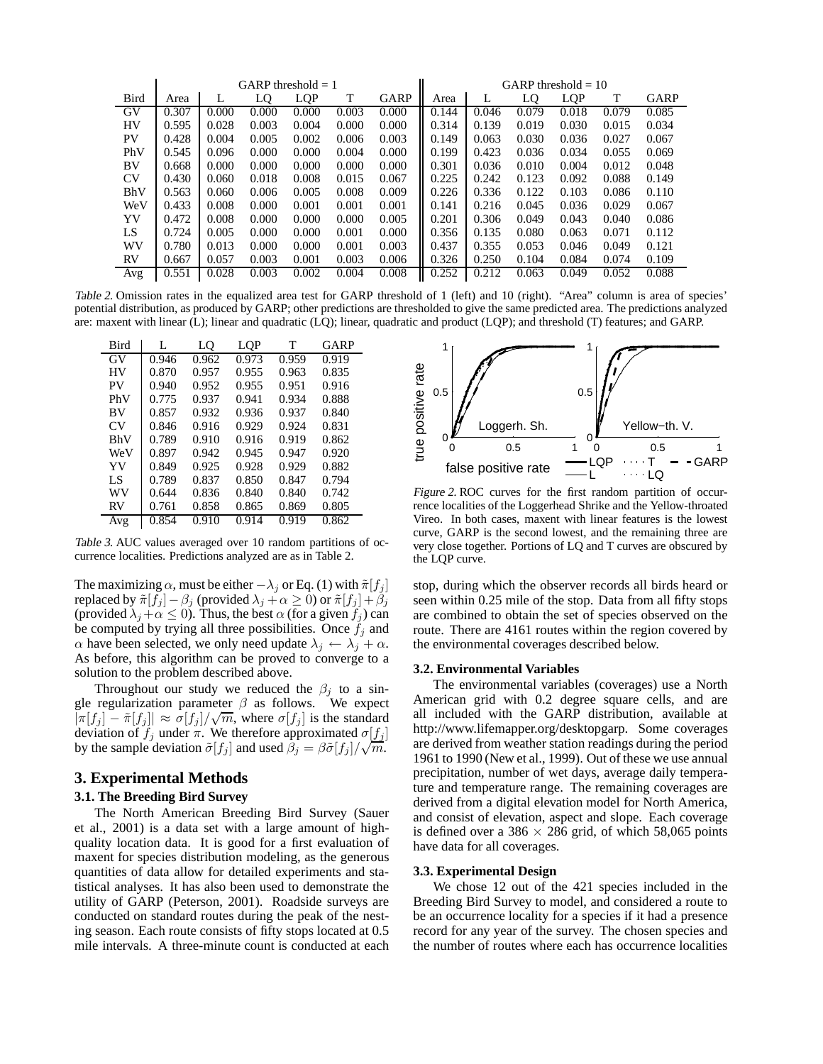|           | GARP threshold $= 1$ |       |       |       | GARP threshold $= 10$ |             |       |       |       |       |       |             |
|-----------|----------------------|-------|-------|-------|-----------------------|-------------|-------|-------|-------|-------|-------|-------------|
| Bird      | Area                 | L     | LQ    | LQP   | т                     | <b>GARP</b> | Area  |       | LO    | LQP   | T     | <b>GARP</b> |
| GV        | 0.307                | 0.000 | 0.000 | 0.000 | 0.003                 | 0.000       | 0.144 | 0.046 | 0.079 | 0.018 | 0.079 | 0.085       |
| HV        | 0.595                | 0.028 | 0.003 | 0.004 | 0.000                 | 0.000       | 0.314 | 0.139 | 0.019 | 0.030 | 0.015 | 0.034       |
| PV        | 0.428                | 0.004 | 0.005 | 0.002 | 0.006                 | 0.003       | 0.149 | 0.063 | 0.030 | 0.036 | 0.027 | 0.067       |
| PhV       | 0.545                | 0.096 | 0.000 | 0.000 | 0.004                 | 0.000       | 0.199 | 0.423 | 0.036 | 0.034 | 0.055 | 0.069       |
| BV        | 0.668                | 0.000 | 0.000 | 0.000 | 0.000                 | 0.000       | 0.301 | 0.036 | 0.010 | 0.004 | 0.012 | 0.048       |
| <b>CV</b> | 0.430                | 0.060 | 0.018 | 0.008 | 0.015                 | 0.067       | 0.225 | 0.242 | 0.123 | 0.092 | 0.088 | 0.149       |
| BhV       | 0.563                | 0.060 | 0.006 | 0.005 | 0.008                 | 0.009       | 0.226 | 0.336 | 0.122 | 0.103 | 0.086 | 0.110       |
| WeV       | 0.433                | 0.008 | 0.000 | 0.001 | 0.001                 | 0.001       | 0.141 | 0.216 | 0.045 | 0.036 | 0.029 | 0.067       |
| YV        | 0.472                | 0.008 | 0.000 | 0.000 | 0.000                 | 0.005       | 0.201 | 0.306 | 0.049 | 0.043 | 0.040 | 0.086       |
| LS        | 0.724                | 0.005 | 0.000 | 0.000 | 0.001                 | 0.000       | 0.356 | 0.135 | 0.080 | 0.063 | 0.071 | 0.112       |
| WV        | 0.780                | 0.013 | 0.000 | 0.000 | 0.001                 | 0.003       | 0.437 | 0.355 | 0.053 | 0.046 | 0.049 | 0.121       |
| RV        | 0.667                | 0.057 | 0.003 | 0.001 | 0.003                 | 0.006       | 0.326 | 0.250 | 0.104 | 0.084 | 0.074 | 0.109       |
| Avg       | 0.551                | 0.028 | 0.003 | 0.002 | 0.004                 | 0.008       | 0.252 | 0.212 | 0.063 | 0.049 | 0.052 | 0.088       |

Table 2. Omission rates in the equalized area test for GARP threshold of 1 (left) and 10 (right). "Area" column is area of species' potential distribution, as produced by GARP; other predictions are thresholded to give the same predicted area. The predictions analyzed are: maxent with linear (L); linear and quadratic (LQ); linear, quadratic and product (LQP); and threshold (T) features; and GARP.

| Bird       | L     | LQ    | LQP            | T     | GARP  |
|------------|-------|-------|----------------|-------|-------|
| GV         | 0.946 | 0.962 | 0.973          | 0.959 | 0.919 |
| HV         | 0.870 | 0.957 | 0.955          | 0.963 | 0.835 |
| PV         | 0.940 | 0.952 | 0.955          | 0.951 | 0.916 |
| PhV        | 0.775 | 0.937 | 0.941          | 0.934 | 0.888 |
| BV         | 0.857 | 0.932 | 0.936          | 0.937 | 0.840 |
| CV         | 0.846 | 0.916 | 0.929          | 0.924 | 0.831 |
| <b>BhV</b> | 0.789 | 0.910 | 0.916          | 0.919 | 0.862 |
| WeV        | 0.897 | 0.942 | 0.945          | 0.947 | 0.920 |
| YV         | 0.849 | 0.925 | 0.928          | 0.929 | 0.882 |
| LS         | 0.789 | 0.837 | 0.850          | 0.847 | 0.794 |
| WV         | 0.644 | 0.836 | 0.840          | 0.840 | 0.742 |
| RV         | 0.761 | 0.858 | 0.865          | 0.869 | 0.805 |
| Avg        | 0.854 | 0.910 | $\sqrt{0.914}$ | 0.919 | 0.862 |

Table 3. AUC values averaged over 10 random partitions of occurrence localities. Predictions analyzed are as in Table 2.

The maximizing  $\alpha$ , must be either  $-\lambda_j$  or Eq. (1) with  $\tilde{\pi}[f_j]$ replaced by  $\tilde{\pi}[f_j] - \beta_j$  (provided  $\lambda_j + \alpha \geq 0$ ) or  $\tilde{\pi}[f_j] + \beta_j$ (provided  $\lambda_j + \alpha \leq 0$ ). Thus, the best  $\alpha$  (for a given  $f_j$ ) can be computed by trying all three possibilities. Once  $f_i$  and  $\alpha$  have been selected, we only need update  $\lambda_i \leftarrow \lambda_i + \alpha$ . As before, this algorithm can be proved to converge to a solution to the problem described above.

Throughout our study we reduced the  $\beta_j$  to a single regularization parameter  $\beta$  as follows. We expect  $|\pi[f_j] - \tilde{\pi}[f_j]| \approx \sigma[f_j]/\sqrt{m}$ , where  $\sigma[f_j]$  is the standard deviation of  $f_j$  under  $\pi$ . We therefore approximated  $\sigma[f_j]$ by the sample deviation  $\tilde{\sigma}[f_j]$  and used  $\beta_j = \beta \tilde{\sigma}[f_j]/\sqrt{m}$ .

## **3. Experimental Methods**

## **3.1. The Breeding Bird Survey**

The North American Breeding Bird Survey (Sauer et al., 2001) is a data set with a large amount of highquality location data. It is good for a first evaluation of maxent for species distribution modeling, as the generous quantities of data allow for detailed experiments and statistical analyses. It has also been used to demonstrate the utility of GARP (Peterson, 2001). Roadside surveys are conducted on standard routes during the peak of the nesting season. Each route consists of fifty stops located at 0.5 mile intervals. A three-minute count is conducted at each



Figure 2. ROC curves for the first random partition of occurrence localities of the Loggerhead Shrike and the Yellow-throated Vireo. In both cases, maxent with linear features is the lowest curve, GARP is the second lowest, and the remaining three are very close together. Portions of LQ and T curves are obscured by the LQP curve.

stop, during which the observer records all birds heard or seen within 0.25 mile of the stop. Data from all fifty stops are combined to obtain the set of species observed on the route. There are 4161 routes within the region covered by the environmental coverages described below.

#### **3.2. Environmental Variables**

The environmental variables (coverages) use a North American grid with 0.2 degree square cells, and are all included with the GARP distribution, available at http://www.lifemapper.org/desktopgarp. Some coverages are derived from weather station readings during the period 1961 to 1990 (New et al., 1999). Out of these we use annual precipitation, number of wet days, average daily temperature and temperature range. The remaining coverages are derived from a digital elevation model for North America, and consist of elevation, aspect and slope. Each coverage is defined over a 386  $\times$  286 grid, of which 58,065 points have data for all coverages.

## **3.3. Experimental Design**

We chose 12 out of the 421 species included in the Breeding Bird Survey to model, and considered a route to be an occurrence locality for a species if it had a presence record for any year of the survey. The chosen species and the number of routes where each has occurrence localities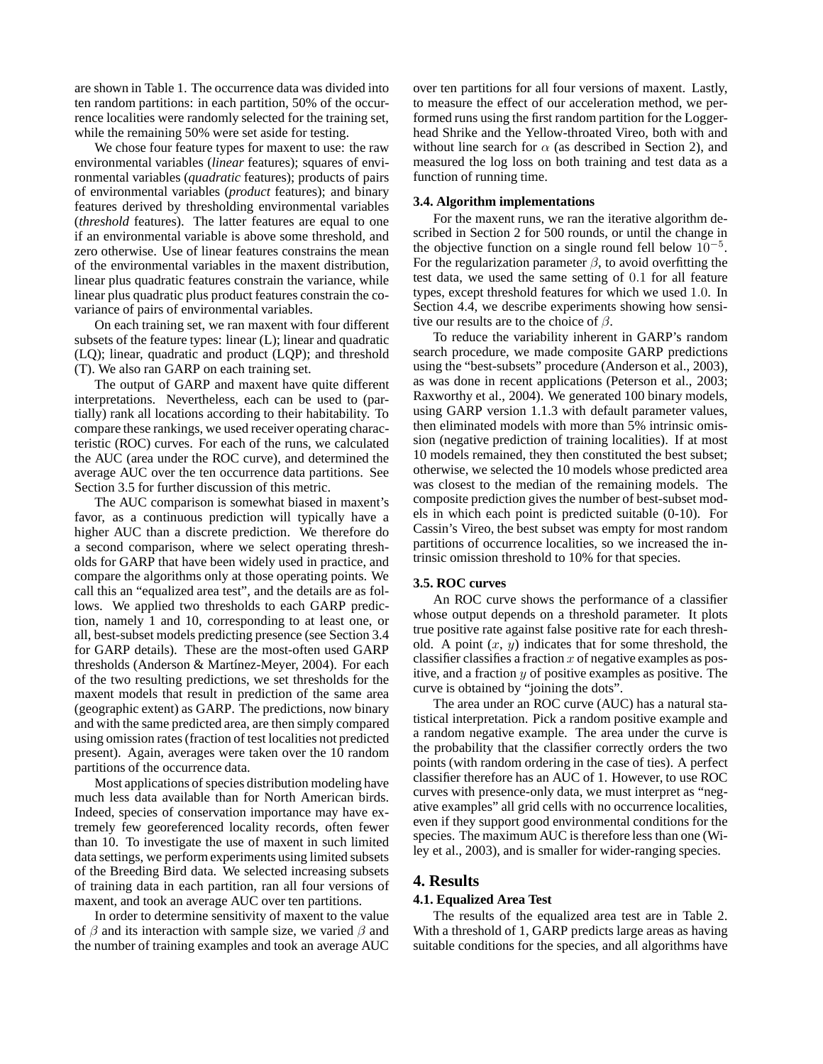are shown in Table 1. The occurrence data was divided into ten random partitions: in each partition, 50% of the occurrence localities were randomly selected for the training set, while the remaining 50% were set aside for testing.

We chose four feature types for maxent to use: the raw environmental variables (*linear* features); squares of environmental variables (*quadratic* features); products of pairs of environmental variables (*product* features); and binary features derived by thresholding environmental variables (*threshold* features). The latter features are equal to one if an environmental variable is above some threshold, and zero otherwise. Use of linear features constrains the mean of the environmental variables in the maxent distribution, linear plus quadratic features constrain the variance, while linear plus quadratic plus product features constrain the covariance of pairs of environmental variables.

On each training set, we ran maxent with four different subsets of the feature types: linear (L); linear and quadratic (LQ); linear, quadratic and product (LQP); and threshold (T). We also ran GARP on each training set.

The output of GARP and maxent have quite different interpretations. Nevertheless, each can be used to (partially) rank all locations according to their habitability. To compare these rankings, we used receiver operating characteristic (ROC) curves. For each of the runs, we calculated the AUC (area under the ROC curve), and determined the average AUC over the ten occurrence data partitions. See Section 3.5 for further discussion of this metric.

The AUC comparison is somewhat biased in maxent's favor, as a continuous prediction will typically have a higher AUC than a discrete prediction. We therefore do a second comparison, where we select operating thresholds for GARP that have been widely used in practice, and compare the algorithms only at those operating points. We call this an "equalized area test", and the details are as follows. We applied two thresholds to each GARP prediction, namely 1 and 10, corresponding to at least one, or all, best-subset models predicting presence (see Section 3.4 for GARP details). These are the most-often used GARP thresholds (Anderson & Martínez-Meyer, 2004). For each of the two resulting predictions, we set thresholds for the maxent models that result in prediction of the same area (geographic extent) as GARP. The predictions, now binary and with the same predicted area, are then simply compared using omission rates (fraction of test localities not predicted present). Again, averages were taken over the 10 random partitions of the occurrence data.

Most applications of species distribution modeling have much less data available than for North American birds. Indeed, species of conservation importance may have extremely few georeferenced locality records, often fewer than 10. To investigate the use of maxent in such limited data settings, we perform experiments using limited subsets of the Breeding Bird data. We selected increasing subsets of training data in each partition, ran all four versions of maxent, and took an average AUC over ten partitions.

In order to determine sensitivity of maxent to the value of  $\beta$  and its interaction with sample size, we varied  $\beta$  and the number of training examples and took an average AUC

over ten partitions for all four versions of maxent. Lastly, to measure the effect of our acceleration method, we performed runs using the first random partition for the Loggerhead Shrike and the Yellow-throated Vireo, both with and without line search for  $\alpha$  (as described in Section 2), and measured the log loss on both training and test data as a function of running time.

#### **3.4. Algorithm implementations**

For the maxent runs, we ran the iterative algorithm described in Section 2 for 500 rounds, or until the change in the objective function on a single round fell below  $10^{-5}$ . For the regularization parameter  $\beta$ , to avoid overfitting the test data, we used the same setting of 0.1 for all feature types, except threshold features for which we used 1.0. In Section 4.4, we describe experiments showing how sensitive our results are to the choice of  $\beta$ .

To reduce the variability inherent in GARP's random search procedure, we made composite GARP predictions using the "best-subsets" procedure (Anderson et al., 2003), as was done in recent applications (Peterson et al., 2003; Raxworthy et al., 2004). We generated 100 binary models, using GARP version 1.1.3 with default parameter values, then eliminated models with more than 5% intrinsic omission (negative prediction of training localities). If at most 10 models remained, they then constituted the best subset; otherwise, we selected the 10 models whose predicted area was closest to the median of the remaining models. The composite prediction gives the number of best-subset models in which each point is predicted suitable (0-10). For Cassin's Vireo, the best subset was empty for most random partitions of occurrence localities, so we increased the intrinsic omission threshold to 10% for that species.

### **3.5. ROC curves**

An ROC curve shows the performance of a classifier whose output depends on a threshold parameter. It plots true positive rate against false positive rate for each threshold. A point  $(x, y)$  indicates that for some threshold, the classifier classifies a fraction  $x$  of negative examples as positive, and a fraction  $y$  of positive examples as positive. The curve is obtained by "joining the dots".

The area under an ROC curve (AUC) has a natural statistical interpretation. Pick a random positive example and a random negative example. The area under the curve is the probability that the classifier correctly orders the two points (with random ordering in the case of ties). A perfect classifier therefore has an AUC of 1. However, to use ROC curves with presence-only data, we must interpret as "negative examples" all grid cells with no occurrence localities, even if they support good environmental conditions for the species. The maximum AUC is therefore less than one (Wiley et al., 2003), and is smaller for wider-ranging species.

## **4. Results**

## **4.1. Equalized Area Test**

The results of the equalized area test are in Table 2. With a threshold of 1, GARP predicts large areas as having suitable conditions for the species, and all algorithms have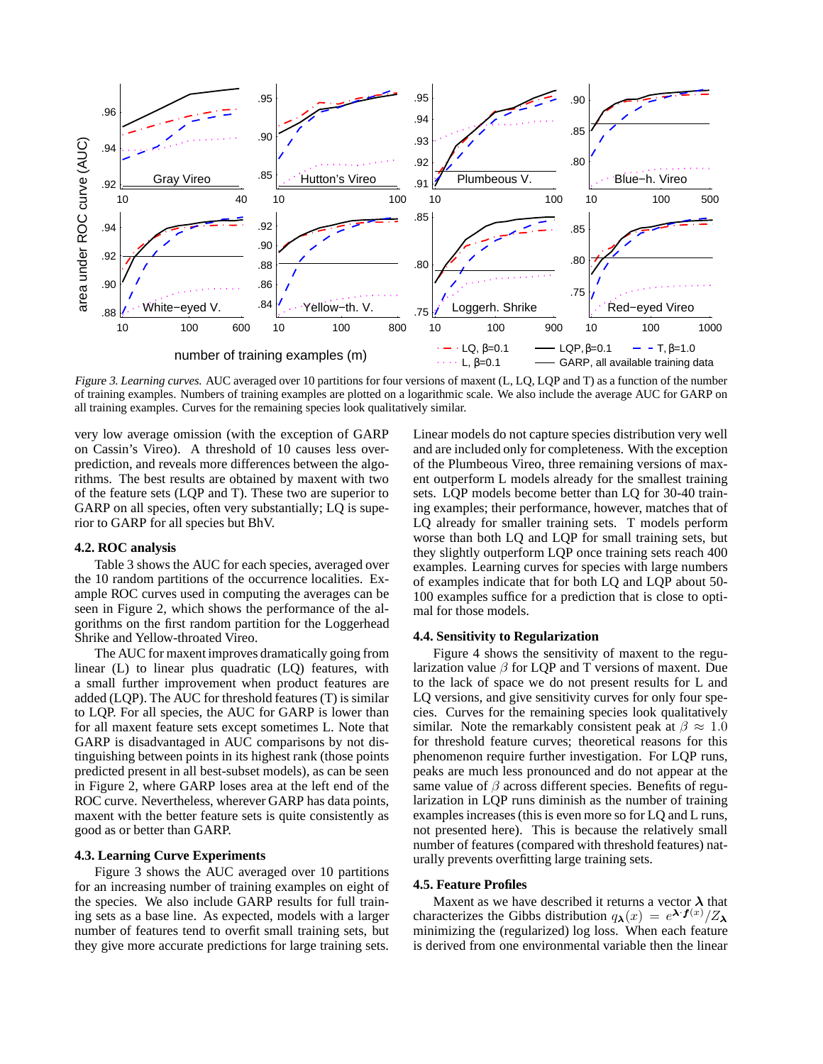

Figure 3. *Learning curves.* AUC averaged over 10 partitions for four versions of maxent (L, LQ, LQP and T) as a function of the number of training examples. Numbers of training examples are plotted on a logarithmic scale. We also include the average AUC for GARP on all training examples. Curves for the remaining species look qualitatively similar.

very low average omission (with the exception of GARP on Cassin's Vireo). A threshold of 10 causes less overprediction, and reveals more differences between the algorithms. The best results are obtained by maxent with two of the feature sets (LQP and T). These two are superior to GARP on all species, often very substantially; LQ is superior to GARP for all species but BhV.

## **4.2. ROC analysis**

Table 3 shows the AUC for each species, averaged over the 10 random partitions of the occurrence localities. Example ROC curves used in computing the averages can be seen in Figure 2, which shows the performance of the algorithms on the first random partition for the Loggerhead Shrike and Yellow-throated Vireo.

The AUC for maxent improves dramatically going from linear (L) to linear plus quadratic (LQ) features, with a small further improvement when product features are added (LQP). The AUC for threshold features (T) is similar to LQP. For all species, the AUC for GARP is lower than for all maxent feature sets except sometimes L. Note that GARP is disadvantaged in AUC comparisons by not distinguishing between points in its highest rank (those points predicted present in all best-subset models), as can be seen in Figure 2, where GARP loses area at the left end of the ROC curve. Nevertheless, wherever GARP has data points, maxent with the better feature sets is quite consistently as good as or better than GARP.

## **4.3. Learning Curve Experiments**

Figure 3 shows the AUC averaged over 10 partitions for an increasing number of training examples on eight of the species. We also include GARP results for full training sets as a base line. As expected, models with a larger number of features tend to overfit small training sets, but they give more accurate predictions for large training sets.

Linear models do not capture species distribution very well and are included only for completeness. With the exception of the Plumbeous Vireo, three remaining versions of maxent outperform L models already for the smallest training sets. LQP models become better than LQ for 30-40 training examples; their performance, however, matches that of LQ already for smaller training sets. T models perform worse than both LQ and LQP for small training sets, but they slightly outperform LQP once training sets reach 400 examples. Learning curves for species with large numbers of examples indicate that for both LQ and LQP about 50- 100 examples suffice for a prediction that is close to optimal for those models.

#### **4.4. Sensitivity to Regularization**

Figure 4 shows the sensitivity of maxent to the regularization value  $\beta$  for LQP and T versions of maxent. Due to the lack of space we do not present results for L and LQ versions, and give sensitivity curves for only four species. Curves for the remaining species look qualitatively similar. Note the remarkably consistent peak at  $\beta \approx 1.0$ for threshold feature curves; theoretical reasons for this phenomenon require further investigation. For LQP runs, peaks are much less pronounced and do not appear at the same value of  $\beta$  across different species. Benefits of regularization in LQP runs diminish as the number of training examples increases (this is even more so for LQ and L runs, not presented here). This is because the relatively small number of features (compared with threshold features) naturally prevents overfitting large training sets.

## **4.5. Feature Profiles**

Maxent as we have described it returns a vector  $\lambda$  that characterizes the Gibbs distribution  $q_{\lambda}(x) = e^{\lambda \cdot f(x)}/Z_{\lambda}$ minimizing the (regularized) log loss. When each feature is derived from one environmental variable then the linear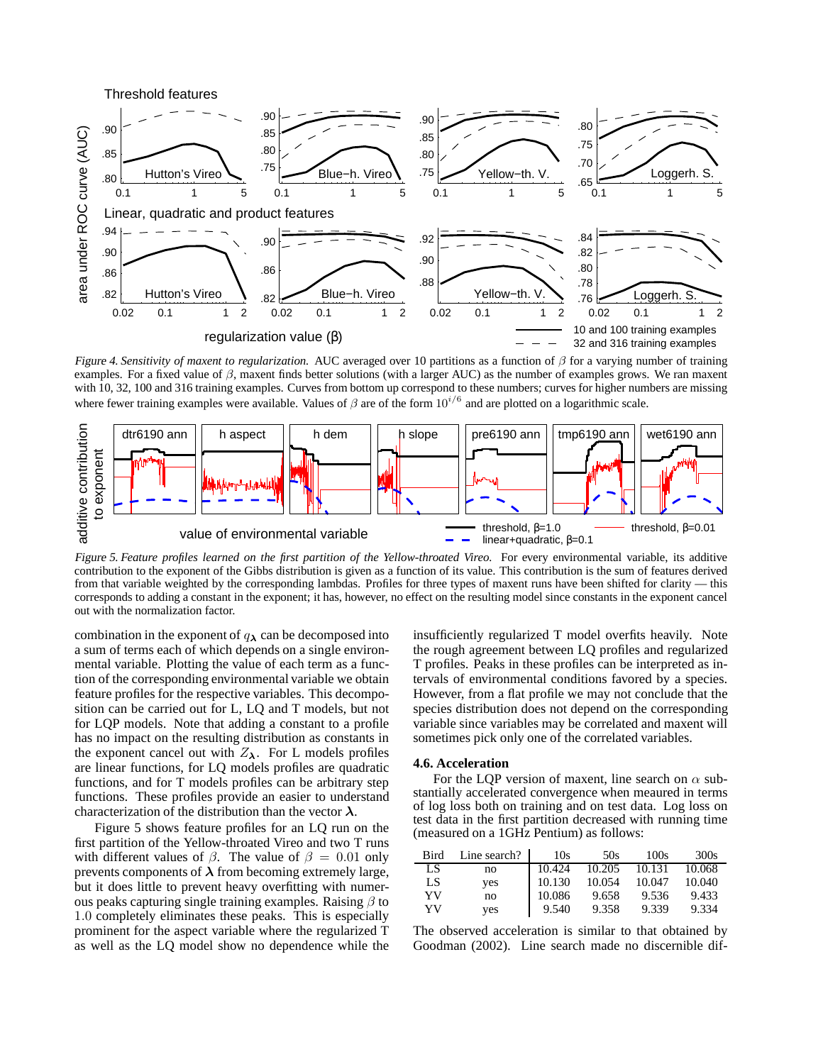

Figure 4. *Sensitivity of maxent to regularization.* AUC averaged over 10 partitions as a function of β for a varying number of training examples. For a fixed value of  $\beta$ , maxent finds better solutions (with a larger AUC) as the number of examples grows. We ran maxent with 10, 32, 100 and 316 training examples. Curves from bottom up correspond to these numbers; curves for higher numbers are missing where fewer training examples were available. Values of  $\beta$  are of the form  $10^{i/6}$  and are plotted on a logarithmic scale.



Figure 5. *Feature profiles learned on the first partition of the Yellow-throated Vireo.* For every environmental variable, its additive contribution to the exponent of the Gibbs distribution is given as a function of its value. This contribution is the sum of features derived from that variable weighted by the corresponding lambdas. Profiles for three types of maxent runs have been shifted for clarity — this corresponds to adding a constant in the exponent; it has, however, no effect on the resulting model since constants in the exponent cancel out with the normalization factor.

combination in the exponent of  $q_{\lambda}$  can be decomposed into a sum of terms each of which depends on a single environmental variable. Plotting the value of each term as a function of the corresponding environmental variable we obtain feature profiles for the respective variables. This decomposition can be carried out for L, LQ and T models, but not for LQP models. Note that adding a constant to a profile has no impact on the resulting distribution as constants in the exponent cancel out with  $Z_{\lambda}$ . For L models profiles are linear functions, for LQ models profiles are quadratic functions, and for T models profiles can be arbitrary step functions. These profiles provide an easier to understand characterization of the distribution than the vector  $\lambda$ .

Figure 5 shows feature profiles for an LQ run on the first partition of the Yellow-throated Vireo and two T runs with different values of  $\beta$ . The value of  $\beta = 0.01$  only prevents components of  $\lambda$  from becoming extremely large, but it does little to prevent heavy overfitting with numerous peaks capturing single training examples. Raising  $\beta$  to 1.0 completely eliminates these peaks. This is especially prominent for the aspect variable where the regularized T as well as the LQ model show no dependence while the insufficiently regularized T model overfits heavily. Note the rough agreement between LQ profiles and regularized T profiles. Peaks in these profiles can be interpreted as intervals of environmental conditions favored by a species. However, from a flat profile we may not conclude that the species distribution does not depend on the corresponding variable since variables may be correlated and maxent will sometimes pick only one of the correlated variables.

## **4.6. Acceleration**

For the LQP version of maxent, line search on  $\alpha$  substantially accelerated convergence when meaured in terms of log loss both on training and on test data. Log loss on test data in the first partition decreased with running time (measured on a 1GHz Pentium) as follows:

| Bird | Line search? | 10s    | .50s   | 100s   | 300s   |
|------|--------------|--------|--------|--------|--------|
| LS   | no           | 10.424 | 10.205 | 10.131 | 10.068 |
| LS   | yes          | 10.130 | 10.054 | 10.047 | 10.040 |
| YV   | no           | 10.086 | 9.658  | 9.536  | 9.433  |
| YV   | yes          | 9.540  | 9.358  | 9.339  | 9.334  |

The observed acceleration is similar to that obtained by Goodman (2002). Line search made no discernible dif